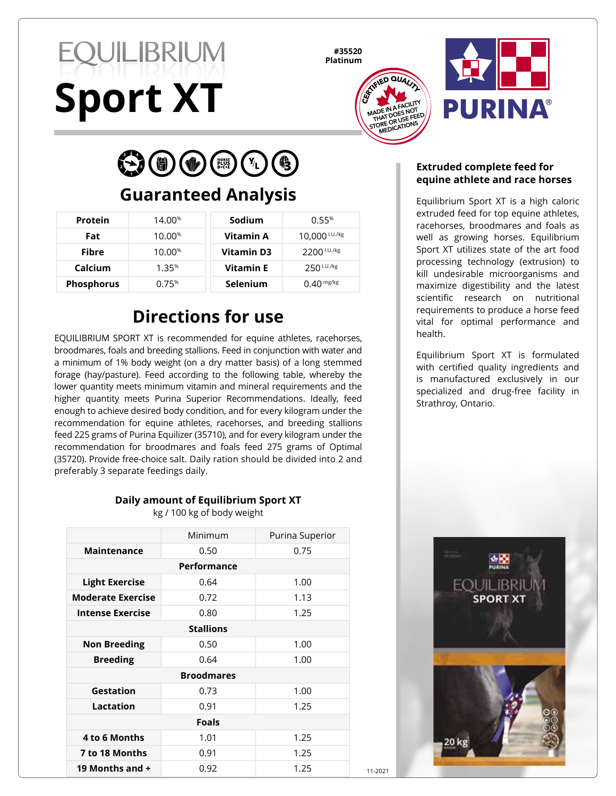# **EQUILIBRIUM Sport XT**

**#35520 Platinum**





 $\left(\begin{smallmatrix} \bullet \\ \bullet \\ \bullet \end{smallmatrix}\right)\left(\begin{smallmatrix} \bullet \\ \bullet \\ \bullet \end{smallmatrix}\right)\left(\begin{smallmatrix} \bullet \\ \bullet \\ \bullet \end{smallmatrix}\right)\left(\begin{smallmatrix} \bullet \\ \bullet \\ \bullet \end{smallmatrix}\right)\left(\begin{smallmatrix} \bullet \\ \bullet \\ \bullet \end{smallmatrix}\right)\left(\begin{smallmatrix} \bullet \\ \bullet \\ \bullet \end{smallmatrix}\right)\left(\begin{smallmatrix} \bullet \\ \bullet \\ \bullet \end{smallmatrix}\right)$ 

## **Guaranteed Analysis**

| Protein           | 14.00 <sup>%</sup> | Sodium            | 0.55%                   |
|-------------------|--------------------|-------------------|-------------------------|
| Fat               | 10.00%             | Vitamin A         | 10,000 $1.01$ /kg       |
| <b>Fibre</b>      | 10.00%             | <b>Vitamin D3</b> | 2200 <sup>I.U./kg</sup> |
| Calcium           | 1.35%              | <b>Vitamin E</b>  | $250^{1.0.7kg}$         |
| <b>Phosphorus</b> | 0.75%              | <b>Selenium</b>   | $0.40$ mg/kg            |

## **Directions for use**

EQUILIBRIUM SPORT XT is recommended for equine athletes, racehorses, broodmares, foals and breeding stallions. Feed in conjunction with water and a minimum of 1% body weight (on a dry matter basis) of a long stemmed forage (hay/pasture). Feed according to the following table, whereby the lower quantity meets minimum vitamin and mineral requirements and the higher quantity meets Purina Superior Recommendations. Ideally, feed enough to achieve desired body condition, and for every kilogram under the recommendation for equine athletes, racehorses, and breeding stallions feed 225 grams of Purina Equilizer (35710), and for every kilogram under the recommendation for broodmares and foals feed 275 grams of Optimal (35720). Provide free-choice salt. Daily ration should be divided into 2 and preferably 3 separate feedings daily.

#### **Daily amount of Equilibrium Sport XT**

kg / 100 kg of body weight

|                          | Minimum           | Purina Superior |
|--------------------------|-------------------|-----------------|
| <b>Maintenance</b>       | 0.50              | 0.75            |
|                          | Performance       |                 |
| <b>Light Exercise</b>    | 0.64              | 1.00            |
| <b>Moderate Exercise</b> | 0.72              | 1.13            |
| <b>Intense Exercise</b>  | 0.80              | 1.25            |
|                          | <b>Stallions</b>  |                 |
| <b>Non Breeding</b>      | 0.50              | 1.00            |
| <b>Breeding</b>          | 0.64              | 1.00            |
|                          | <b>Broodmares</b> |                 |
| Gestation                | 0.73              | 1.00            |
| Lactation                | 0.91              | 1.25            |
|                          | <b>Foals</b>      |                 |
| 4 to 6 Months            | 1.01              | 1.25            |
| 7 to 18 Months           | 0.91              | 1.25            |
| 19 Months and +          | 0.92              | 1.25            |

#### **Extruded complete feed for equine athlete and race horses**

Equilibrium Sport XT is a high caloric extruded feed for top equine athletes, racehorses, broodmares and foals as well as growing horses. Equilibrium Sport XT utilizes state of the art food processing technology (extrusion) to kill undesirable microorganisms and maximize digestibility and the latest scientific research on nutritional requirements to produce a horse feed vital for optimal performance and health.

Equilibrium Sport XT is formulated with certified quality ingredients and is manufactured exclusively in our specialized and drug-free facility in Strathroy, Ontario.